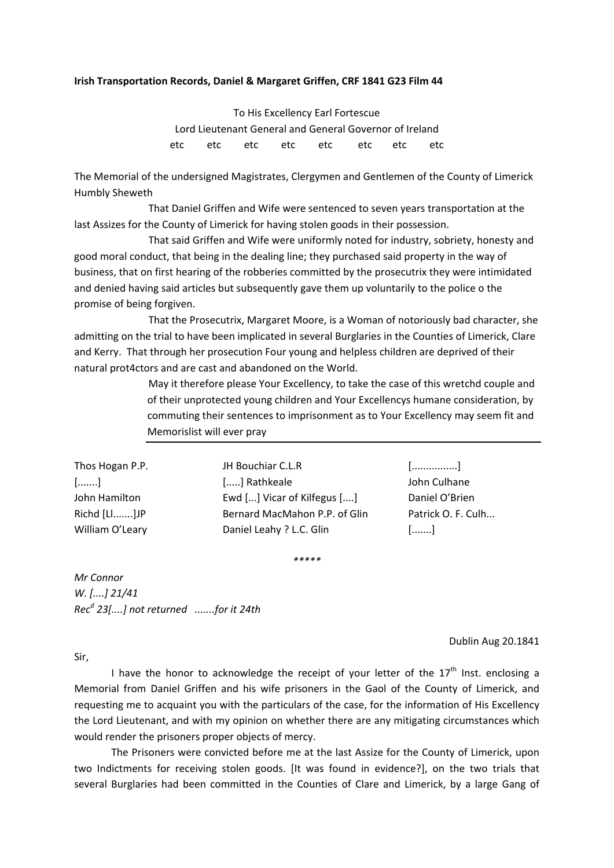## **Irish Transportation Records, Daniel & Margaret Griffen, CRF 1841 G23 Film 44**

To His Excellency Earl Fortescue Lord Lieutenant General and General Governor of Ireland etc etc etc etc etc etc etc etc

The Memorial of the undersigned Magistrates, Clergymen and Gentlemen of the County of Limerick Humbly Sheweth

 That Daniel Griffen and Wife were sentenced to seven years transportation at the last Assizes for the County of Limerick for having stolen goods in their possession.

 That said Griffen and Wife were uniformly noted for industry, sobriety, honesty and good moral conduct, that being in the dealing line; they purchased said property in the way of business, that on first hearing of the robberies committed by the prosecutrix they were intimidated and denied having said articles but subsequently gave them up voluntarily to the police o the promise of being forgiven.

 That the Prosecutrix, Margaret Moore, is a Woman of notoriously bad character, she admitting on the trial to have been implicated in several Burglaries in the Counties of Limerick, Clare and Kerry. That through her prosecution Four young and helpless children are deprived of their natural prot4ctors and are cast and abandoned on the World.

> May it therefore please Your Excellency, to take the case of this wretchd couple and of their unprotected young children and Your Excellencys humane consideration, by commuting their sentences to imprisonment as to Your Excellency may seem fit and Memorislist will ever pray

Thos Hogan P.P. JH Bouchiar C.L.R [................] [.......] [.....] Rathkeale John Culhane John Hamilton Ewd [...] Vicar of Kilfegus [....] Daniel O'Brien Richd [Ll.......]JP Bernard MacMahon P.P. of Glin Patrick O. F. Culh... William O'Leary **Daniel Leahy ? L.C. Glin** [.......]

*\*\*\*\*\**

*Mr Connor W. [....] 21/41 Recd 23[....] not returned .......for it 24th*

Dublin Aug 20.1841

Sir,

I have the honor to acknowledge the receipt of your letter of the  $17<sup>th</sup>$  Inst. enclosing a Memorial from Daniel Griffen and his wife prisoners in the Gaol of the County of Limerick, and requesting me to acquaint you with the particulars of the case, for the information of His Excellency the Lord Lieutenant, and with my opinion on whether there are any mitigating circumstances which would render the prisoners proper objects of mercy.

The Prisoners were convicted before me at the last Assize for the County of Limerick, upon two Indictments for receiving stolen goods. [It was found in evidence?], on the two trials that several Burglaries had been committed in the Counties of Clare and Limerick, by a large Gang of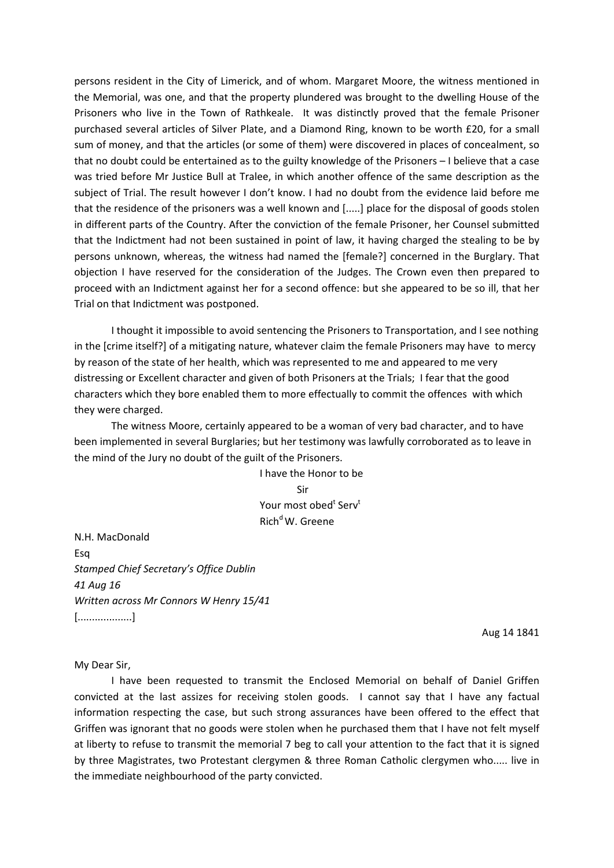persons resident in the City of Limerick, and of whom. Margaret Moore, the witness mentioned in the Memorial, was one, and that the property plundered was brought to the dwelling House of the Prisoners who live in the Town of Rathkeale. It was distinctly proved that the female Prisoner purchased several articles of Silver Plate, and a Diamond Ring, known to be worth £20, for a small sum of money, and that the articles (or some of them) were discovered in places of concealment, so that no doubt could be entertained as to the guilty knowledge of the Prisoners – I believe that a case was tried before Mr Justice Bull at Tralee, in which another offence of the same description as the subject of Trial. The result however I don't know. I had no doubt from the evidence laid before me that the residence of the prisoners was a well known and [.....] place for the disposal of goods stolen in different parts of the Country. After the conviction of the female Prisoner, her Counsel submitted that the Indictment had not been sustained in point of law, it having charged the stealing to be by persons unknown, whereas, the witness had named the [female?] concerned in the Burglary. That objection I have reserved for the consideration of the Judges. The Crown even then prepared to proceed with an Indictment against her for a second offence: but she appeared to be so ill, that her Trial on that Indictment was postponed.

I thought it impossible to avoid sentencing the Prisoners to Transportation, and I see nothing in the [crime itself?] of a mitigating nature, whatever claim the female Prisoners may have to mercy by reason of the state of her health, which was represented to me and appeared to me very distressing or Excellent character and given of both Prisoners at the Trials; I fear that the good characters which they bore enabled them to more effectually to commit the offences with which they were charged.

The witness Moore, certainly appeared to be a woman of very bad character, and to have been implemented in several Burglaries; but her testimony was lawfully corroborated as to leave in the mind of the Jury no doubt of the guilt of the Prisoners.

> I have the Honor to be Sir Your most obed<sup>t</sup> Serv<sup>t</sup> Rich<sup>d</sup> W. Greene

N.H. MacDonald Esq *Stamped Chief Secretary's Office Dublin 41 Aug 16 Written across Mr Connors W Henry 15/41* [...................]

Aug 14 1841

My Dear Sir,

I have been requested to transmit the Enclosed Memorial on behalf of Daniel Griffen convicted at the last assizes for receiving stolen goods. I cannot say that I have any factual information respecting the case, but such strong assurances have been offered to the effect that Griffen was ignorant that no goods were stolen when he purchased them that I have not felt myself at liberty to refuse to transmit the memorial 7 beg to call your attention to the fact that it is signed by three Magistrates, two Protestant clergymen & three Roman Catholic clergymen who..... live in the immediate neighbourhood of the party convicted.